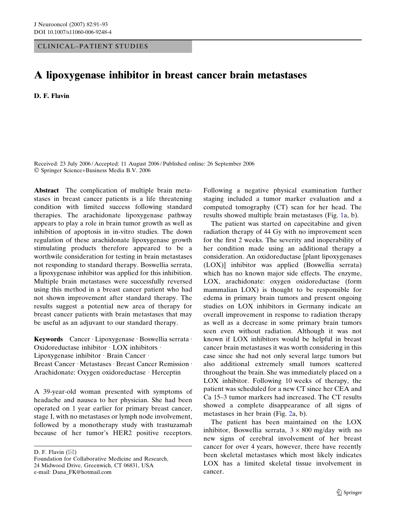CLINICAL–PATIENT STUDIES

## A lipoxygenase inhibitor in breast cancer brain metastases

D. F. Flavin

Received: 23 July 2006 / Accepted: 11 August 2006 / Published online: 26 September 2006 Springer Science+Business Media B.V. 2006

Abstract The complication of multiple brain metastases in breast cancer patients is a life threatening condition with limited success following standard therapies. The arachidonate lipoxygenase pathway appears to play a role in brain tumor growth as well as inhibition of apoptosis in in-vitro studies. The down regulation of these arachidonate lipoxygenase growth stimulating products therefore appeared to be a worthwile consideration for testing in brain metastases not responding to standard therapy. Boswellia serrata, a lipoxygenase inhibitor was applied for this inhibition. Multiple brain metastases were successfully reversed using this method in a breast cancer patient who had not shown improvement after standard therapy. The results suggest a potential new area of therapy for breast cancer patients with brain metastases that may be useful as an adjuvant to our standard therapy.

Keywords Cancer · Lipoxygenase · Boswellia serrata · Oxidoreductase inhibitor · LOX inhibitors · Lipoxygenase inhibitor · Brain Cancer · Breast Cancer · Metastases · Breast Cancer Remission · Arachidonate: Oxygen oxidoreductase · Herceptin

A 39-year-old woman presented with symptoms of headache and nausea to her physician. She had been operated on 1 year earlier for primary breast cancer, stage I, with no metastases or lymph node involvement, followed by a monotherapy study with trastuzamab because of her tumor's HER2 positive receptors.

D. F. Flavin  $(\boxtimes)$ 

Following a negative physical examination further staging included a tumor marker evaluation and a computed tomography (CT) scan for her head. The results showed multiple brain metastases (Fig. [1](#page-1-0)a, b).

The patient was started on capecitabine and given radiation therapy of 44 Gy with no improvement seen for the first 2 weeks. The severity and inoperability of her condition made using an additional therapy a consideration. An oxidoreductase [plant lipoxygenases (LOX)] inhibitor was applied (Boswellia serrata) which has no known major side effects. The enzyme, LOX, arachidonate: oxygen oxidoreductase (form mammalian LOX) is thought to be responsible for edema in primary brain tumors and present ongoing studies on LOX inhibitors in Germany indicate an overall improvement in response to radiation therapy as well as a decrease in some primary brain tumors seen even without radiation. Although it was not known if LOX inhibitors would be helpful in breast cancer brain metastases it was worth considering in this case since she had not only several large tumors but also additional extremely small tumors scattered throughout the brain. She was immediately placed on a LOX inhibitor. Following 10 weeks of therapy, the patient was scheduled for a new CT since her CEA and Ca 15–3 tumor markers had increased. The CT results showed a complete disappearance of all signs of metastases in her brain (Fig. [2a](#page-1-0), b).

The patient has been maintained on the LOX inhibitor, Boswellia serrata,  $3 \times 800$  mg/day with no new signs of cerebral involvement of her breast cancer for over 4 years, however, there have recently been skeletal metastases which most likely indicates LOX has a limited skeletal tissue involvement in cancer.

Foundation for Collaborative Medicine and Research, 24 Midwood Drive, Greenwich, CT 06831, USA e-mail: Dana\_FK@hotmail.com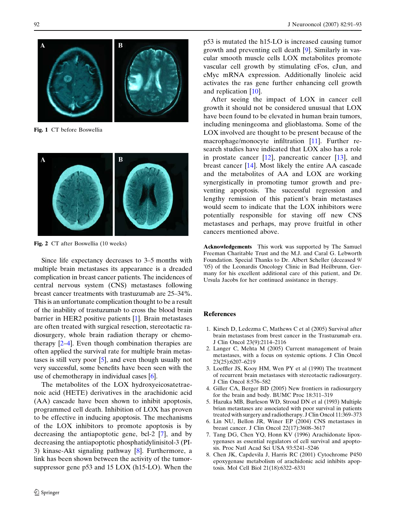<span id="page-1-0"></span>

Fig. 1 CT before Boswellia



Fig. 2 CT after Boswellia (10 weeks)

Since life expectancy decreases to 3–5 months with multiple brain metastases its appearance is a dreaded complication in breast cancer patients. The incidences of central nervous system (CNS) metastases following breast cancer treatments with trastuzumab are 25–34%. This is an unfortunate complication thought to be a result of the inability of trastuzumab to cross the blood brain barrier in HER2 positive patients [1]. Brain metastases are often treated with surgical resection, stereotactic radiosurgery, whole brain radiation therapy or chemotherapy  $[2-4]$ . Even though combination therapies are often applied the survival rate for multiple brain metastases is still very poor [5], and even though usually not very successful, some benefits have been seen with the use of chemotherapy in individual cases [6].

The metabolites of the LOX hydroxyeicosatetraenoic acid (HETE) derivatives in the arachidonic acid (AA) cascade have been shown to inhibit apoptosis, programmed cell death. Inhibition of LOX has proven to be effective in inducing apoptosis. The mechanisms of the LOX inhibitors to promote apoptosis is by decreasing the antiapoptotic gene, bcl-2 [7], and by decreasing the antiapoptotic phosphatidylinisitol-3 (PI-3) kinase-Akt signaling pathway [8]. Furthermore, a link has been shown between the activity of the tumorsuppressor gene p53 and 15 LOX (h15-LO). When the p53 is mutated the h15-LO is increased causing tumor growth and preventing cell death [[9\]](#page-2-0). Similarly in vascular smooth muscle cells LOX metabolites promote vascular cell growth by stimulating cFos, cJun, and cMyc mRNA expression. Additionally linoleic acid activates the ras gene further enhancing cell growth and replication [[10\]](#page-2-0).

After seeing the impact of LOX in cancer cell growth it should not be considered unusual that LOX have been found to be elevated in human brain tumors, including meningeoma and glioblastoma. Some of the LOX involved are thought to be present because of the macrophage/monocyte infiltration [[11\]](#page-2-0). Further research studies have indicated that LOX also has a role in prostate cancer [\[12\]](#page-2-0), pancreatic cancer [[13\]](#page-2-0), and breast cancer [[14](#page-2-0)]. Most likely the entire AA cascade and the metabolites of AA and LOX are working synergistically in promoting tumor growth and preventing apoptosis. The successful regression and lengthy remission of this patient's brain metastases would seem to indicate that the LOX inhibitors were potentially responsible for staving off new CNS metastases and perhaps, may prove fruitful in other cancers mentioned above.

Acknowledgements This work was supported by The Samuel Freeman Charitable Trust and the M.J. and Caral G. Lebworth Foundation. Special Thanks to Dr. Albert Scheller (deceased 9/ '05) of the Leonardis Oncology Clinic in Bad Heilbrunn, Germany for his excellent additional care of this patient, and Dr. Ursula Jacobs for her continued assistance in therapy.

## **References**

- 1. Kirsch D, Ledezma C, Mathews C et al (2005) Survival after brain metastases from brest cancer in the Trastuzumab era. J Clin Oncol 23(9):2114–2116
- 2. Langer C, Mehta M (2005) Current management of brain metastases, with a focus on systemic options. J Clin Oncol 23(25):6207–6219
- 3. Loeffler JS, Kooy HM, Wen PY et al (1990) The treatment of recurrent brain metastases with stereotactic radiosurgery. J Clin Oncol 8:576–582
- 4. Giller CA, Berger BD (2005) New frontiers in radiosurgery for the brain and body. BUMC Proc 18:311–319
- 5. Hazuka MB, Burleson WD, Stroud DN et al (1993) Multiple brian metastases are associated with poor survival in patients treated with surgery and radiotherapy. J Clin Oncol 11:369–373
- 6. Lin NU, Bellon JR, Winer EP (2004) CNS metastases in breast cancer. J Clin Oncol 22(17):3608–3617
- 7. Tang DG, Chen YQ, Honn KV (1996) Arachidonate lipoxygenases as essential regulators of cell survival and apoptosis. Proc Natl Acad Sci USA 93:5241–5246
- 8. Chen JK, Capdevila J, Harris RC (2001) Cytochrome P450 epoxygenase metabolism of arachidonic acid inhibits apoptosis. Mol Cell Biol 21(18):6322–6331